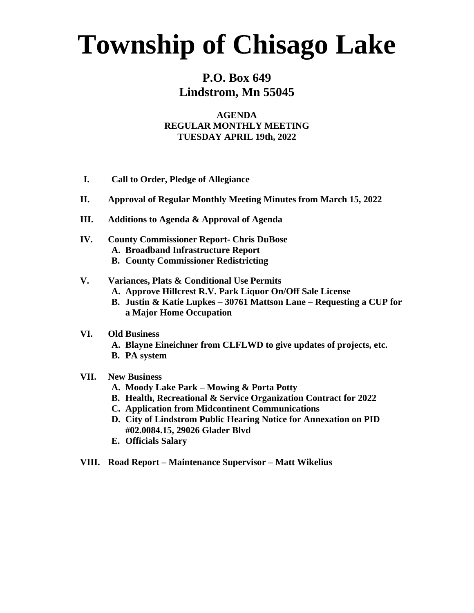## **Township of Chisago Lake**

### **P.O. Box 649 Lindstrom, Mn 55045**

#### **AGENDA REGULAR MONTHLY MEETING TUESDAY APRIL 19th, 2022**

- **I. Call to Order, Pledge of Allegiance**
- **II. Approval of Regular Monthly Meeting Minutes from March 15, 2022**
- **III. Additions to Agenda & Approval of Agenda**
- **IV. County Commissioner Report- Chris DuBose A. Broadband Infrastructure Report B. County Commissioner Redistricting**

#### **V. Variances, Plats & Conditional Use Permits**

- **A. Approve Hillcrest R.V. Park Liquor On/Off Sale License**
- **B. Justin & Katie Lupkes – 30761 Mattson Lane – Requesting a CUP for a Major Home Occupation**

#### **VI. Old Business**

- **A. Blayne Eineichner from CLFLWD to give updates of projects, etc.**
- **B. PA system**

#### **VII. New Business**

- **A. Moody Lake Park – Mowing & Porta Potty**
- **B. Health, Recreational & Service Organization Contract for 2022**
- **C. Application from Midcontinent Communications**
- **D. City of Lindstrom Public Hearing Notice for Annexation on PID #02.0084.15, 29026 Glader Blvd**
- **E. Officials Salary**
- **VIII. Road Report – Maintenance Supervisor – Matt Wikelius**